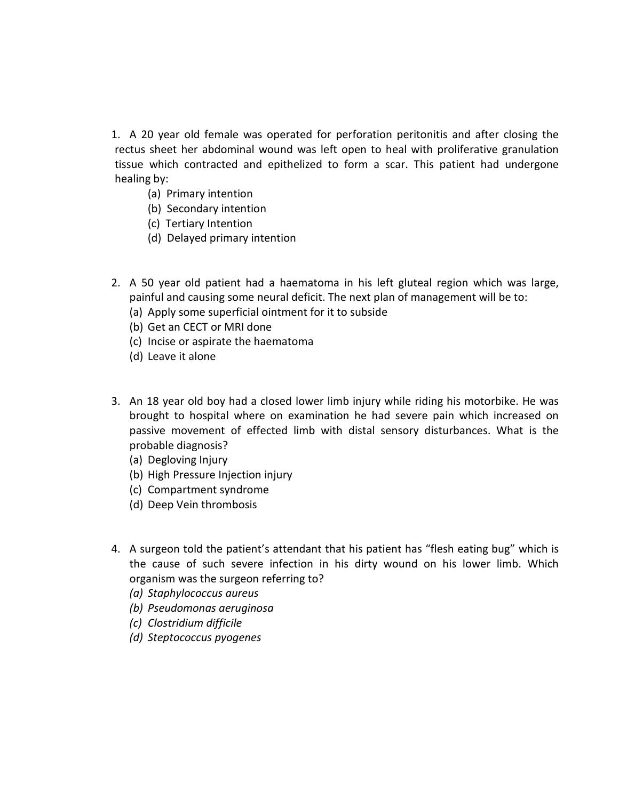1. A 20 year old female was operated for perforation peritonitis and after closing the rectus sheet her abdominal wound was left open to heal with proliferative granulation tissue which contracted and epithelized to form a scar. This patient had undergone healing by:

- (a) Primary intention
- (b) Secondary intention
- (c) Tertiary Intention
- (d) Delayed primary intention
- 2. A 50 year old patient had a haematoma in his left gluteal region which was large, painful and causing some neural deficit. The next plan of management will be to:
	- (a) Apply some superficial ointment for it to subside
	- (b) Get an CECT or MRI done
	- (c) Incise or aspirate the haematoma
	- (d) Leave it alone
- 3. An 18 year old boy had a closed lower limb injury while riding his motorbike. He was brought to hospital where on examination he had severe pain which increased on passive movement of effected limb with distal sensory disturbances. What is the probable diagnosis?
	- (a) Degloving Injury
	- (b) High Pressure Injection injury
	- (c) Compartment syndrome
	- (d) Deep Vein thrombosis
- 4. A surgeon told the patient's attendant that his patient has "flesh eating bug" which is the cause of such severe infection in his dirty wound on his lower limb. Which organism was the surgeon referring to?
	- *(a) Staphylococcus aureus*
	- *(b) Pseudomonas aeruginosa*
	- *(c) Clostridium difficile*
	- *(d) Steptococcus pyogenes*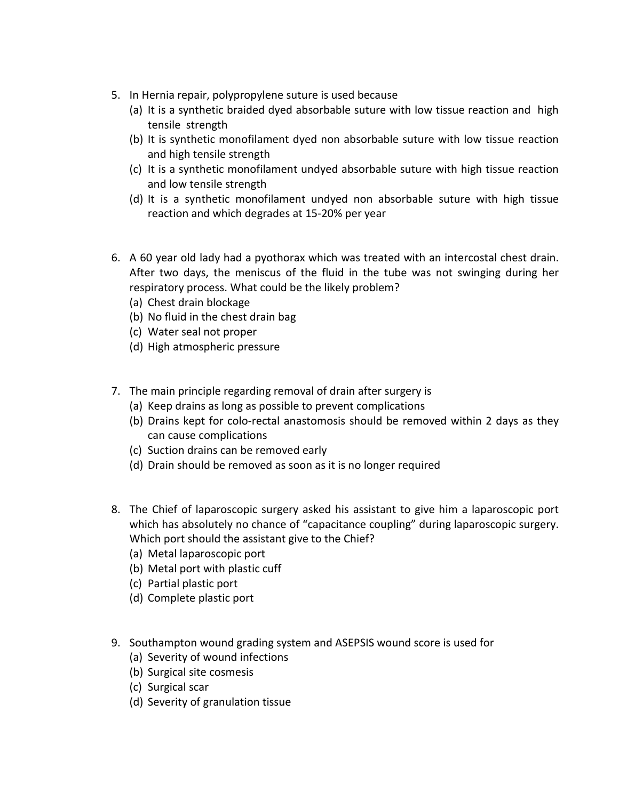- 5. In Hernia repair, polypropylene suture is used because
	- (a) It is a synthetic braided dyed absorbable suture with low tissue reaction and high tensile strength
	- (b) It is synthetic monofilament dyed non absorbable suture with low tissue reaction and high tensile strength
	- (c) It is a synthetic monofilament undyed absorbable suture with high tissue reaction and low tensile strength
	- (d) It is a synthetic monofilament undyed non absorbable suture with high tissue reaction and which degrades at 15-20% per year
- 6. A 60 year old lady had a pyothorax which was treated with an intercostal chest drain. After two days, the meniscus of the fluid in the tube was not swinging during her respiratory process. What could be the likely problem?
	- (a) Chest drain blockage
	- (b) No fluid in the chest drain bag
	- (c) Water seal not proper
	- (d) High atmospheric pressure
- 7. The main principle regarding removal of drain after surgery is
	- (a) Keep drains as long as possible to prevent complications
	- (b) Drains kept for colo-rectal anastomosis should be removed within 2 days as they can cause complications
	- (c) Suction drains can be removed early
	- (d) Drain should be removed as soon as it is no longer required
- 8. The Chief of laparoscopic surgery asked his assistant to give him a laparoscopic port which has absolutely no chance of "capacitance coupling" during laparoscopic surgery. Which port should the assistant give to the Chief?
	- (a) Metal laparoscopic port
	- (b) Metal port with plastic cuff
	- (c) Partial plastic port
	- (d) Complete plastic port
- 9. Southampton wound grading system and ASEPSIS wound score is used for
	- (a) Severity of wound infections
	- (b) Surgical site cosmesis
	- (c) Surgical scar
	- (d) Severity of granulation tissue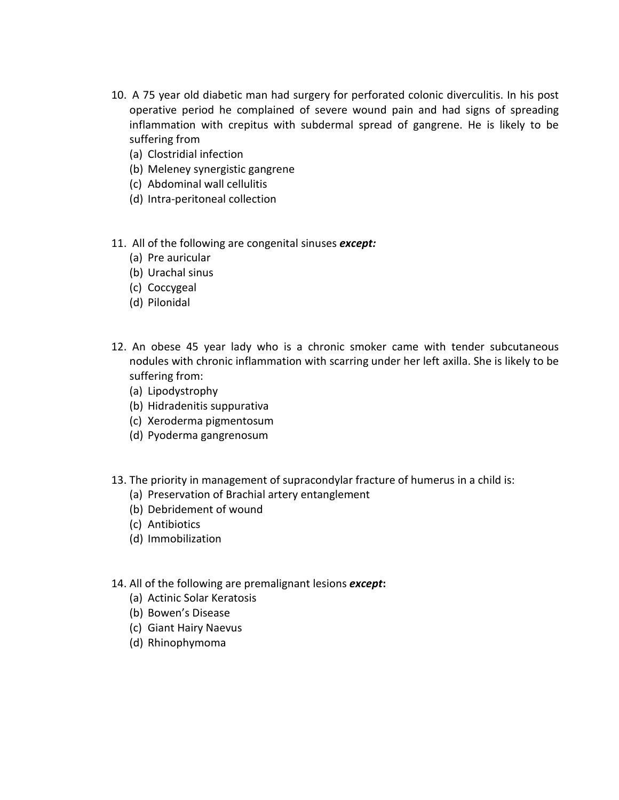- 10. A 75 year old diabetic man had surgery for perforated colonic diverculitis. In his post operative period he complained of severe wound pain and had signs of spreading inflammation with crepitus with subdermal spread of gangrene. He is likely to be suffering from
	- (a) Clostridial infection
	- (b) Meleney synergistic gangrene
	- (c) Abdominal wall cellulitis
	- (d) Intra-peritoneal collection
- 11. All of the following are congenital sinuses *except:*
	- (a) Pre auricular
	- (b) Urachal sinus
	- (c) Coccygeal
	- (d) Pilonidal
- 12. An obese 45 year lady who is a chronic smoker came with tender subcutaneous nodules with chronic inflammation with scarring under her left axilla. She is likely to be suffering from:
	- (a) Lipodystrophy
	- (b) Hidradenitis suppurativa
	- (c) Xeroderma pigmentosum
	- (d) Pyoderma gangrenosum
- 13. The priority in management of supracondylar fracture of humerus in a child is:
	- (a) Preservation of Brachial artery entanglement
	- (b) Debridement of wound
	- (c) Antibiotics
	- (d) Immobilization
- 14. All of the following are premalignant lesions *except***:**
	- (a) Actinic Solar Keratosis
	- (b) Bowen's Disease
	- (c) Giant Hairy Naevus
	- (d) Rhinophymoma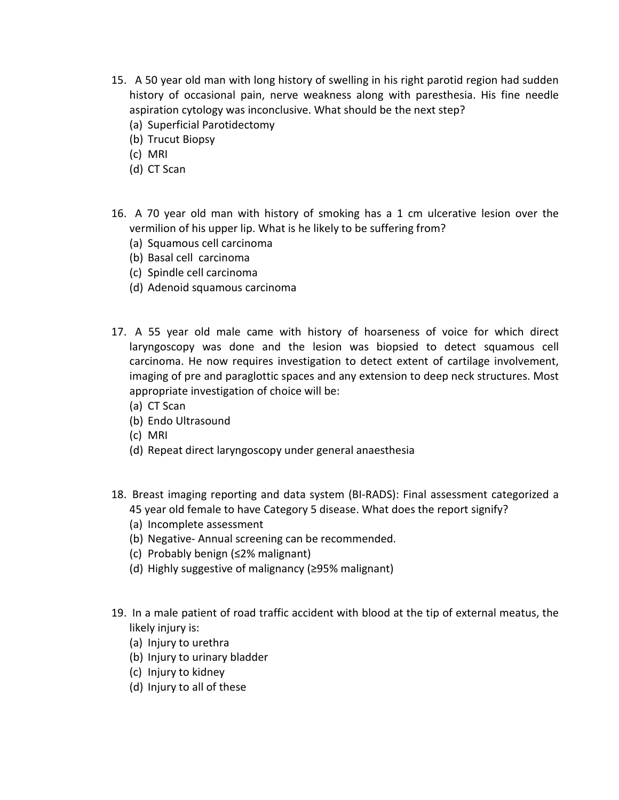- 15. A 50 year old man with long history of swelling in his right parotid region had sudden history of occasional pain, nerve weakness along with paresthesia. His fine needle aspiration cytology was inconclusive. What should be the next step?
	- (a) Superficial Parotidectomy
	- (b) Trucut Biopsy
	- (c) MRI
	- (d) CT Scan
- 16. A 70 year old man with history of smoking has a 1 cm ulcerative lesion over the vermilion of his upper lip. What is he likely to be suffering from?
	- (a) Squamous cell carcinoma
	- (b) Basal cell carcinoma
	- (c) Spindle cell carcinoma
	- (d) Adenoid squamous carcinoma
- 17. A 55 year old male came with history of hoarseness of voice for which direct laryngoscopy was done and the lesion was biopsied to detect squamous cell carcinoma. He now requires investigation to detect extent of cartilage involvement, imaging of pre and paraglottic spaces and any extension to deep neck structures. Most appropriate investigation of choice will be:
	- (a) CT Scan
	- (b) Endo Ultrasound
	- (c) MRI
	- (d) Repeat direct laryngoscopy under general anaesthesia
- 18. Breast imaging reporting and data system (BI-RADS): Final assessment categorized a 45 year old female to have Category 5 disease. What does the report signify?
	- (a) Incomplete assessment
	- (b) Negative- Annual screening can be recommended.
	- (c) Probably benign (≤2% malignant)
	- (d) Highly suggestive of malignancy (≥95% malignant)
- 19. In a male patient of road traffic accident with blood at the tip of external meatus, the likely injury is:
	- (a) Injury to urethra
	- (b) Injury to urinary bladder
	- (c) Injury to kidney
	- (d) Injury to all of these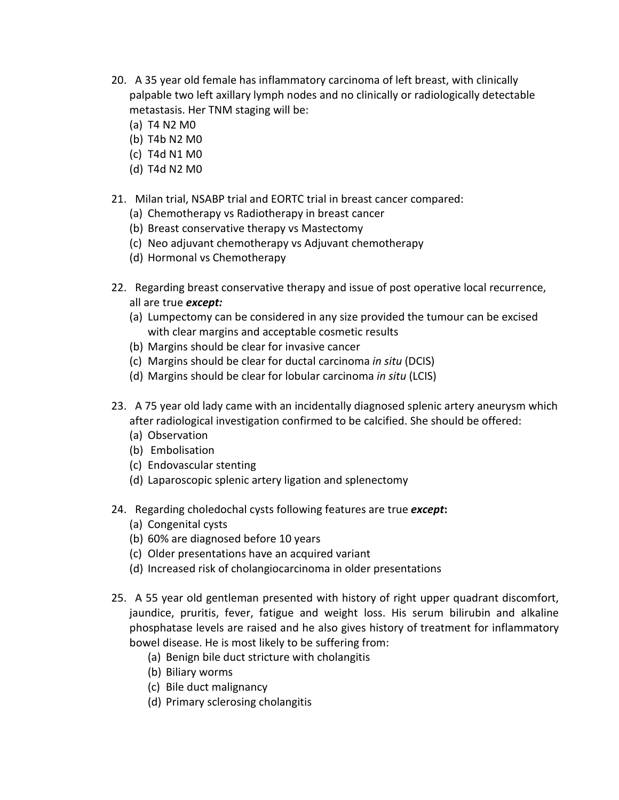- 20. A 35 year old female has inflammatory carcinoma of left breast, with clinically palpable two left axillary lymph nodes and no clinically or radiologically detectable metastasis. Her TNM staging will be:
	- (a) T4 N2 M0
	- (b) T4b N2 M0
	- (c) T4d N1 M0
	- (d) T4d N2 M0
- 21. Milan trial, NSABP trial and EORTC trial in breast cancer compared:
	- (a) Chemotherapy vs Radiotherapy in breast cancer
	- (b) Breast conservative therapy vs Mastectomy
	- (c) Neo adjuvant chemotherapy vs Adjuvant chemotherapy
	- (d) Hormonal vs Chemotherapy
- 22. Regarding breast conservative therapy and issue of post operative local recurrence, all are true *except:*
	- (a) Lumpectomy can be considered in any size provided the tumour can be excised with clear margins and acceptable cosmetic results
	- (b) Margins should be clear for invasive cancer
	- (c) Margins should be clear for ductal carcinoma *in situ* (DCIS)
	- (d) Margins should be clear for lobular carcinoma *in situ* (LCIS)
- 23. A 75 year old lady came with an incidentally diagnosed splenic artery aneurysm which after radiological investigation confirmed to be calcified. She should be offered:
	- (a) Observation
	- (b) Embolisation
	- (c) Endovascular stenting
	- (d) Laparoscopic splenic artery ligation and splenectomy
- 24. Regarding choledochal cysts following features are true *except***:**
	- (a) Congenital cysts
	- (b) 60% are diagnosed before 10 years
	- (c) Older presentations have an acquired variant
	- (d) Increased risk of cholangiocarcinoma in older presentations
- 25. A 55 year old gentleman presented with history of right upper quadrant discomfort, jaundice, pruritis, fever, fatigue and weight loss. His serum bilirubin and alkaline phosphatase levels are raised and he also gives history of treatment for inflammatory bowel disease. He is most likely to be suffering from:
	- (a) Benign bile duct stricture with cholangitis
	- (b) Biliary worms
	- (c) Bile duct malignancy
	- (d) Primary sclerosing cholangitis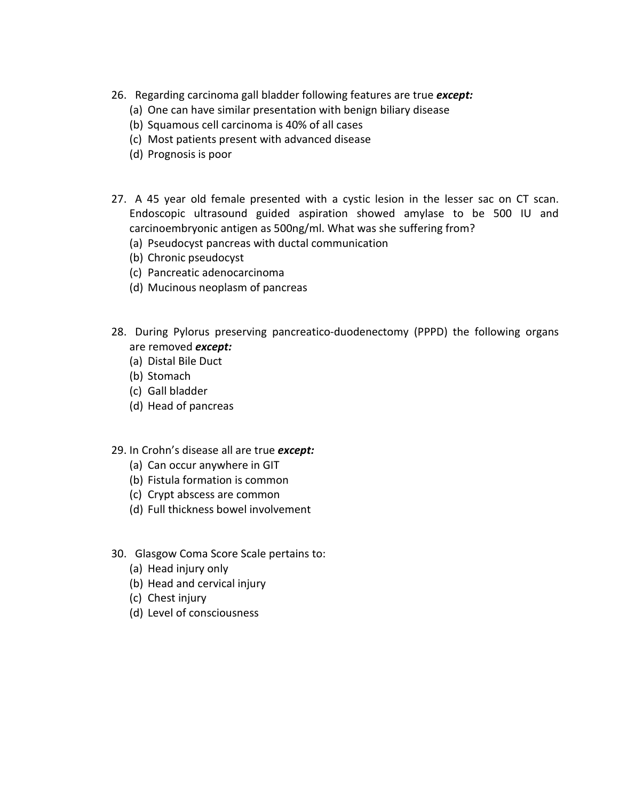- 26. Regarding carcinoma gall bladder following features are true *except:*
	- (a) One can have similar presentation with benign biliary disease
	- (b) Squamous cell carcinoma is 40% of all cases
	- (c) Most patients present with advanced disease
	- (d) Prognosis is poor
- 27. A 45 year old female presented with a cystic lesion in the lesser sac on CT scan. Endoscopic ultrasound guided aspiration showed amylase to be 500 IU and carcinoembryonic antigen as 500ng/ml. What was she suffering from?
	- (a) Pseudocyst pancreas with ductal communication
	- (b) Chronic pseudocyst
	- (c) Pancreatic adenocarcinoma
	- (d) Mucinous neoplasm of pancreas
- 28. During Pylorus preserving pancreatico-duodenectomy (PPPD) the following organs are removed *except:*
	- (a) Distal Bile Duct
	- (b) Stomach
	- (c) Gall bladder
	- (d) Head of pancreas
- 29. In Crohn's disease all are true *except:*
	- (a) Can occur anywhere in GIT
	- (b) Fistula formation is common
	- (c) Crypt abscess are common
	- (d) Full thickness bowel involvement
- 30. Glasgow Coma Score Scale pertains to:
	- (a) Head injury only
	- (b) Head and cervical injury
	- (c) Chest injury
	- (d) Level of consciousness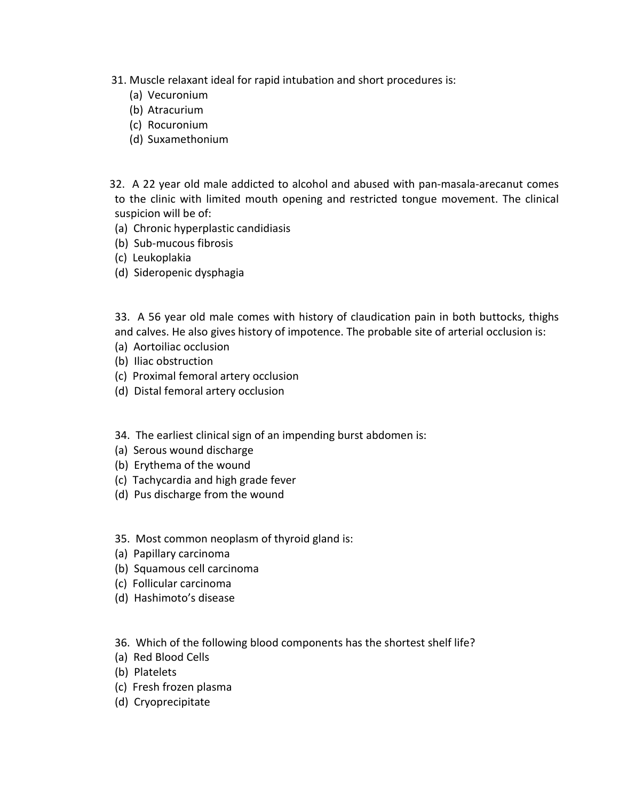- 31. Muscle relaxant ideal for rapid intubation and short procedures is:
	- (a) Vecuronium
	- (b) Atracurium
	- (c) Rocuronium
	- (d) Suxamethonium
- 32. A 22 year old male addicted to alcohol and abused with pan-masala-arecanut comes to the clinic with limited mouth opening and restricted tongue movement. The clinical suspicion will be of:
- (a) Chronic hyperplastic candidiasis
- (b) Sub-mucous fibrosis
- (c) Leukoplakia
- (d) Sideropenic dysphagia

33. A 56 year old male comes with history of claudication pain in both buttocks, thighs and calves. He also gives history of impotence. The probable site of arterial occlusion is:

- (a) Aortoiliac occlusion
- (b) Iliac obstruction
- (c) Proximal femoral artery occlusion
- (d) Distal femoral artery occlusion
- 34. The earliest clinical sign of an impending burst abdomen is:
- (a) Serous wound discharge
- (b) Erythema of the wound
- (c) Tachycardia and high grade fever
- (d) Pus discharge from the wound
- 35. Most common neoplasm of thyroid gland is:
- (a) Papillary carcinoma
- (b) Squamous cell carcinoma
- (c) Follicular carcinoma
- (d) Hashimoto's disease
- 36. Which of the following blood components has the shortest shelf life?
- (a) Red Blood Cells
- (b) Platelets
- (c) Fresh frozen plasma
- (d) Cryoprecipitate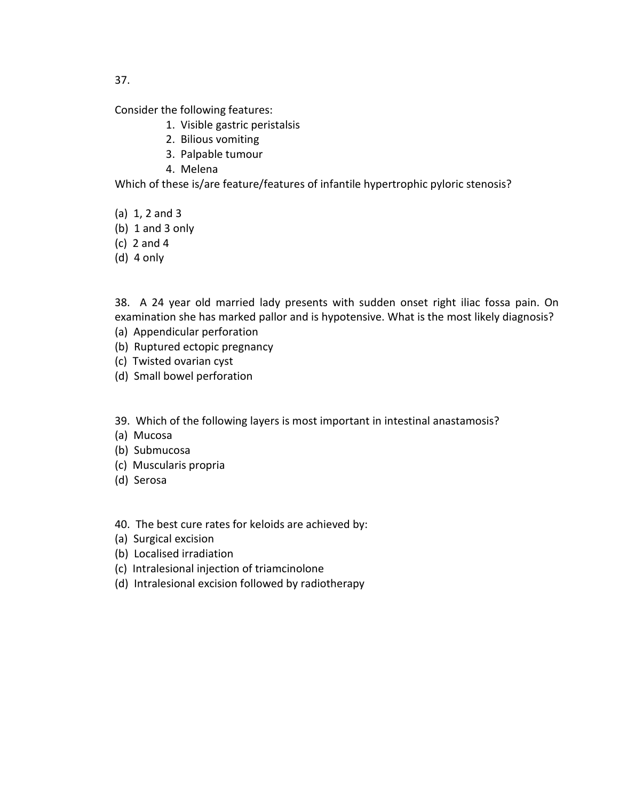Consider the following features:

- 1. Visible gastric peristalsis
- 2. Bilious vomiting
- 3. Palpable tumour
- 4. Melena

Which of these is/are feature/features of infantile hypertrophic pyloric stenosis?

- (a) 1, 2 and 3
- (b) 1 and 3 only
- (c) 2 and 4
- (d) 4 only

38. A 24 year old married lady presents with sudden onset right iliac fossa pain. On examination she has marked pallor and is hypotensive. What is the most likely diagnosis? (a) Appendicular perforation

- (b) Ruptured ectopic pregnancy
- (c) Twisted ovarian cyst
- (d) Small bowel perforation
- 39. Which of the following layers is most important in intestinal anastamosis?
- (a) Mucosa
- (b) Submucosa
- (c) Muscularis propria
- (d) Serosa
- 40. The best cure rates for keloids are achieved by:
- (a) Surgical excision
- (b) Localised irradiation
- (c) Intralesional injection of triamcinolone
- (d) Intralesional excision followed by radiotherapy

37.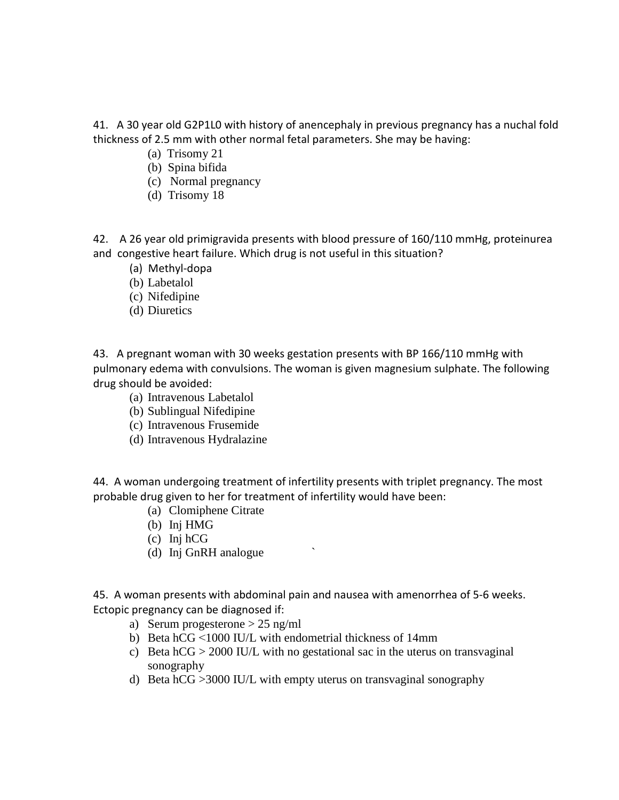41. A 30 year old G2P1L0 with history of anencephaly in previous pregnancy has a nuchal fold thickness of 2.5 mm with other normal fetal parameters. She may be having:

- (a) Trisomy 21
- (b) Spina bifida
- (c) Normal pregnancy
- (d) Trisomy 18

42. A 26 year old primigravida presents with blood pressure of 160/110 mmHg, proteinurea and congestive heart failure. Which drug is not useful in this situation?

- (a) Methyl-dopa
- (b) Labetalol
- (c) Nifedipine
- (d) Diuretics

43. A pregnant woman with 30 weeks gestation presents with BP 166/110 mmHg with pulmonary edema with convulsions. The woman is given magnesium sulphate. The following drug should be avoided:

- (a) Intravenous Labetalol
- (b) Sublingual Nifedipine
- (c) Intravenous Frusemide
- (d) Intravenous Hydralazine

44. A woman undergoing treatment of infertility presents with triplet pregnancy. The most probable drug given to her for treatment of infertility would have been:

- (a) Clomiphene Citrate
- (b) Inj HMG
- (c) Inj hCG
- (d) Inj GnRH analogue `

45. A woman presents with abdominal pain and nausea with amenorrhea of 5-6 weeks. Ectopic pregnancy can be diagnosed if:

- a) Serum progesterone > 25 ng/ml
- b) Beta hCG ˂1000 IU/L with endometrial thickness of 14mm
- c) Beta  $hCG > 2000$  IU/L with no gestational sac in the uterus on transvaginal sonography
- d) Beta hCG >3000 IU/L with empty uterus on transvaginal sonography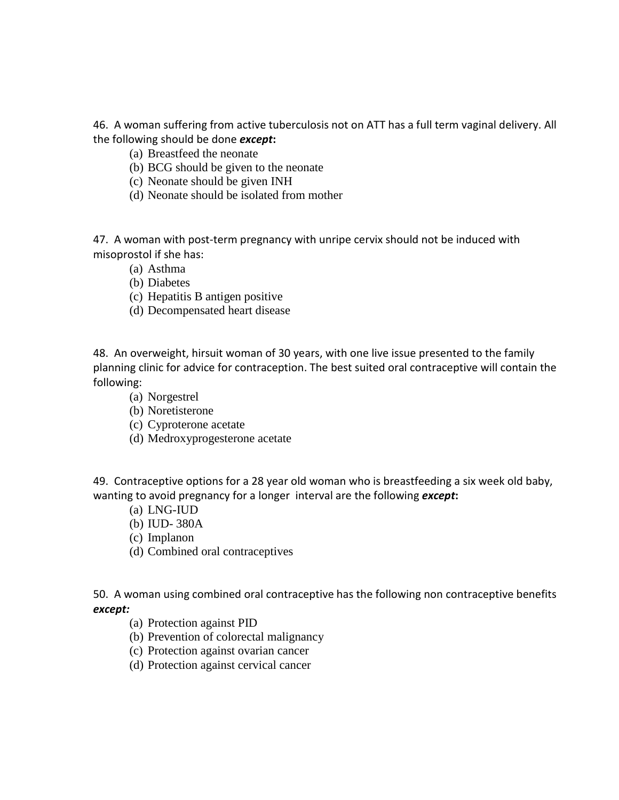46. A woman suffering from active tuberculosis not on ATT has a full term vaginal delivery. All the following should be done *except***:**

- (a) Breastfeed the neonate
- (b) BCG should be given to the neonate
- (c) Neonate should be given INH
- (d) Neonate should be isolated from mother

47. A woman with post-term pregnancy with unripe cervix should not be induced with misoprostol if she has:

- (a) Asthma
- (b) Diabetes
- (c) Hepatitis B antigen positive
- (d) Decompensated heart disease

48. An overweight, hirsuit woman of 30 years, with one live issue presented to the family planning clinic for advice for contraception. The best suited oral contraceptive will contain the following:

- (a) Norgestrel
- (b) Noretisterone
- (c) Cyproterone acetate
- (d) Medroxyprogesterone acetate

49. Contraceptive options for a 28 year old woman who is breastfeeding a six week old baby, wanting to avoid pregnancy for a longer interval are the following *except***:**

- (a) LNG-IUD
- (b) IUD- 380A
- (c) Implanon
- (d) Combined oral contraceptives

50. A woman using combined oral contraceptive has the following non contraceptive benefits *except:*

- (a) Protection against PID
- (b) Prevention of colorectal malignancy
- (c) Protection against ovarian cancer
- (d) Protection against cervical cancer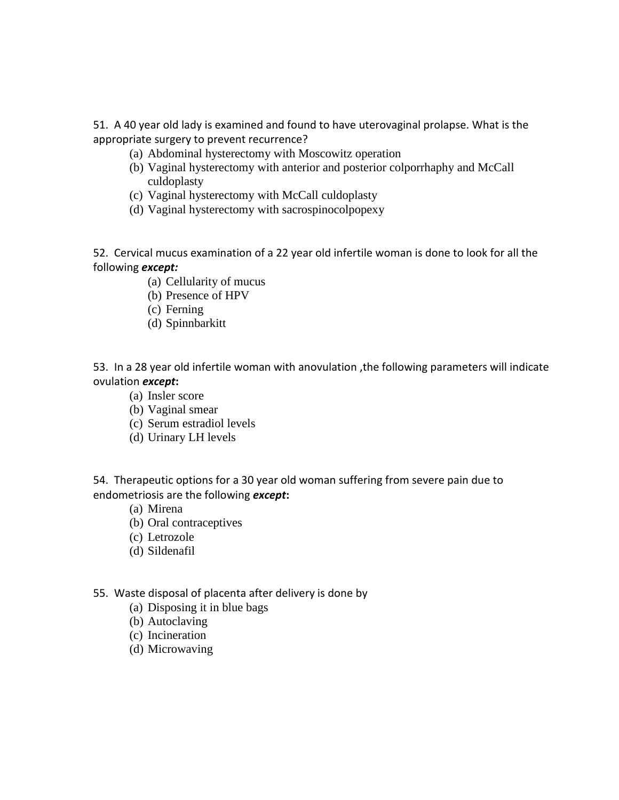51. A 40 year old lady is examined and found to have uterovaginal prolapse. What is the appropriate surgery to prevent recurrence?

- (a) Abdominal hysterectomy with Moscowitz operation
- (b) Vaginal hysterectomy with anterior and posterior colporrhaphy and McCall culdoplasty
- (c) Vaginal hysterectomy with McCall culdoplasty
- (d) Vaginal hysterectomy with sacrospinocolpopexy

52. Cervical mucus examination of a 22 year old infertile woman is done to look for all the following *except:*

- (a) Cellularity of mucus
- (b) Presence of HPV
- (c) Ferning
- (d) Spinnbarkitt

53. In a 28 year old infertile woman with anovulation ,the following parameters will indicate ovulation *except***:**

- (a) Insler score
- (b) Vaginal smear
- (c) Serum estradiol levels
- (d) Urinary LH levels

54. Therapeutic options for a 30 year old woman suffering from severe pain due to endometriosis are the following *except***:**

- (a) Mirena
- (b) Oral contraceptives
- (c) Letrozole
- (d) Sildenafil
- 55. Waste disposal of placenta after delivery is done by
	- (a) Disposing it in blue bags
	- (b) Autoclaving
	- (c) Incineration
	- (d) Microwaving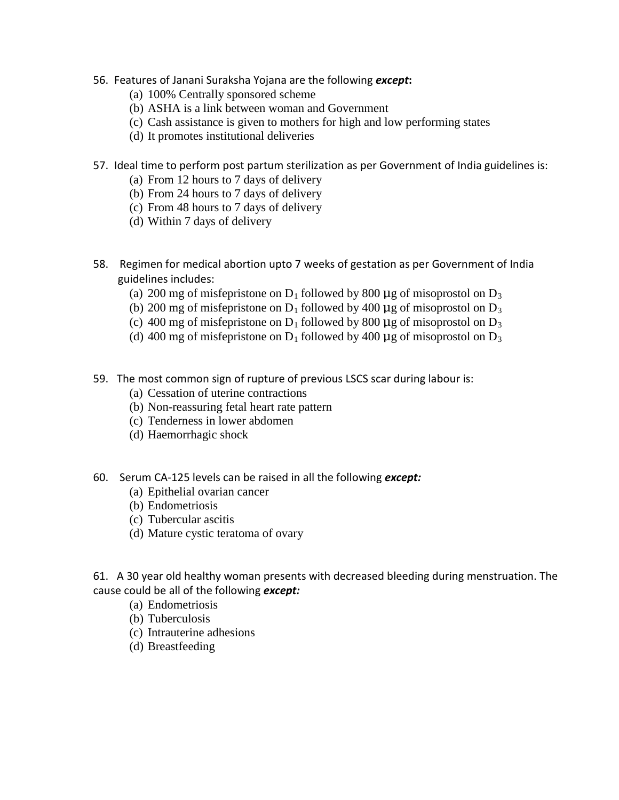- 56. Features of Janani Suraksha Yojana are the following *except***:**
	- (a) 100% Centrally sponsored scheme
	- (b) ASHA is a link between woman and Government
	- (c) Cash assistance is given to mothers for high and low performing states
	- (d) It promotes institutional deliveries
- 57. Ideal time to perform post partum sterilization as per Government of India guidelines is:
	- (a) From 12 hours to 7 days of delivery
	- (b) From 24 hours to 7 days of delivery
	- (c) From 48 hours to 7 days of delivery
	- (d) Within 7 days of delivery
- 58. Regimen for medical abortion upto 7 weeks of gestation as per Government of India guidelines includes:
	- (a) 200 mg of misfepristone on  $D_1$  followed by 800 µg of misoprostol on  $D_3$
	- (b) 200 mg of misfepristone on  $D_1$  followed by 400 µg of misoprostol on  $D_3$
	- (c) 400 mg of misfepristone on  $D_1$  followed by 800 µg of misoprostol on  $D_3$
	- (d) 400 mg of misfepristone on  $D_1$  followed by 400 µg of misoprostol on  $D_3$
- 59. The most common sign of rupture of previous LSCS scar during labour is:
	- (a) Cessation of uterine contractions
	- (b) Non-reassuring fetal heart rate pattern
	- (c) Tenderness in lower abdomen
	- (d) Haemorrhagic shock
- 60. Serum CA-125 levels can be raised in all the following *except:*
	- (a) Epithelial ovarian cancer
	- (b) Endometriosis
	- (c) Tubercular ascitis
	- (d) Mature cystic teratoma of ovary

61. A 30 year old healthy woman presents with decreased bleeding during menstruation. The cause could be all of the following *except:*

- (a) Endometriosis
- (b) Tuberculosis
- (c) Intrauterine adhesions
- (d) Breastfeeding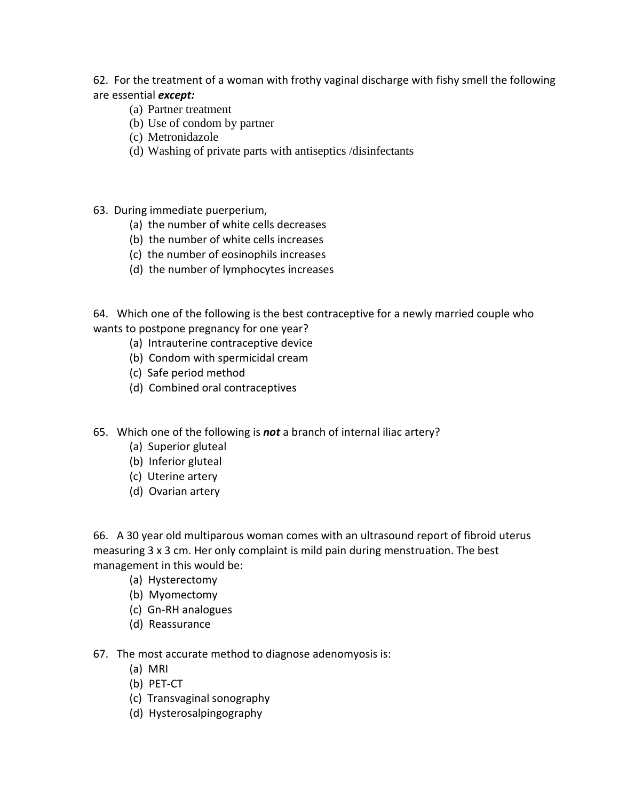62. For the treatment of a woman with frothy vaginal discharge with fishy smell the following are essential *except:*

- (a) Partner treatment
- (b) Use of condom by partner
- (c) Metronidazole
- (d) Washing of private parts with antiseptics /disinfectants
- 63. During immediate puerperium,
	- (a) the number of white cells decreases
	- (b) the number of white cells increases
	- (c) the number of eosinophils increases
	- (d) the number of lymphocytes increases

64. Which one of the following is the best contraceptive for a newly married couple who wants to postpone pregnancy for one year?

- (a) Intrauterine contraceptive device
- (b) Condom with spermicidal cream
- (c) Safe period method
- (d) Combined oral contraceptives
- 65. Which one of the following is *not* a branch of internal iliac artery?
	- (a) Superior gluteal
	- (b) Inferior gluteal
	- (c) Uterine artery
	- (d) Ovarian artery

66. A 30 year old multiparous woman comes with an ultrasound report of fibroid uterus measuring 3 x 3 cm. Her only complaint is mild pain during menstruation. The best management in this would be:

- (a) Hysterectomy
- (b) Myomectomy
- (c) Gn-RH analogues
- (d) Reassurance
- 67. The most accurate method to diagnose adenomyosis is:
	- (a) MRI
	- (b) PET-CT
	- (c) Transvaginal sonography
	- (d) Hysterosalpingography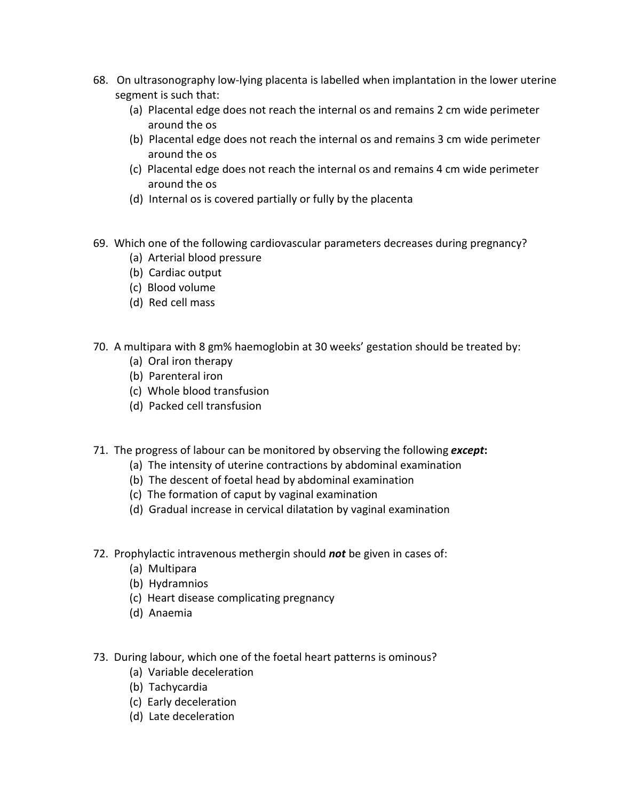- 68. On ultrasonography low-lying placenta is labelled when implantation in the lower uterine segment is such that:
	- (a) Placental edge does not reach the internal os and remains 2 cm wide perimeter around the os
	- (b) Placental edge does not reach the internal os and remains 3 cm wide perimeter around the os
	- (c) Placental edge does not reach the internal os and remains 4 cm wide perimeter around the os
	- (d) Internal os is covered partially or fully by the placenta
- 69. Which one of the following cardiovascular parameters decreases during pregnancy?
	- (a) Arterial blood pressure
	- (b) Cardiac output
	- (c) Blood volume
	- (d) Red cell mass
- 70. A multipara with 8 gm% haemoglobin at 30 weeks' gestation should be treated by:
	- (a) Oral iron therapy
	- (b) Parenteral iron
	- (c) Whole blood transfusion
	- (d) Packed cell transfusion
- 71. The progress of labour can be monitored by observing the following *except***:**
	- (a) The intensity of uterine contractions by abdominal examination
	- (b) The descent of foetal head by abdominal examination
	- (c) The formation of caput by vaginal examination
	- (d) Gradual increase in cervical dilatation by vaginal examination
- 72. Prophylactic intravenous methergin should *not* be given in cases of:
	- (a) Multipara
	- (b) Hydramnios
	- (c) Heart disease complicating pregnancy
	- (d) Anaemia
- 73. During labour, which one of the foetal heart patterns is ominous?
	- (a) Variable deceleration
	- (b) Tachycardia
	- (c) Early deceleration
	- (d) Late deceleration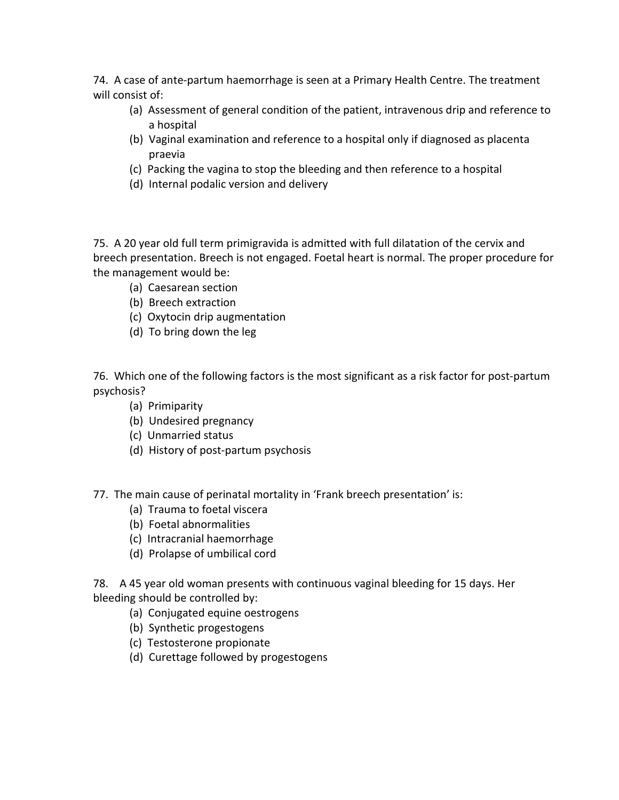74. A case of ante-partum haemorrhage is seen at a Primary Health Centre. The treatment will consist of:

- (a) Assessment of general condition of the patient, intravenous drip and reference to a hospital
- (b) Vaginal examination and reference to a hospital only if diagnosed as placenta praevia
- (c) Packing the vagina to stop the bleeding and then reference to a hospital
- (d) Internal podalic version and delivery

75. A 20 year old full term primigravida is admitted with full dilatation of the cervix and breech presentation. Breech is not engaged. Foetal heart is normal. The proper procedure for the management would be:

- (a) Caesarean section
- (b) Breech extraction
- (c) Oxytocin drip augmentation
- (d) To bring down the leg

76. Which one of the following factors is the most significant as a risk factor for post-partum psychosis?

- (a) Primiparity
- (b) Undesired pregnancy
- (c) Unmarried status
- (d) History of post-partum psychosis

77. The main cause of perinatal mortality in 'Frank breech presentation' is:

- (a) Trauma to foetal viscera
- (b) Foetal abnormalities
- (c) Intracranial haemorrhage
- (d) Prolapse of umbilical cord

78. A 45 year old woman presents with continuous vaginal bleeding for 15 days. Her bleeding should be controlled by:

- (a) Conjugated equine oestrogens
- (b) Synthetic progestogens
- (c) Testosterone propionate
- (d) Curettage followed by progestogens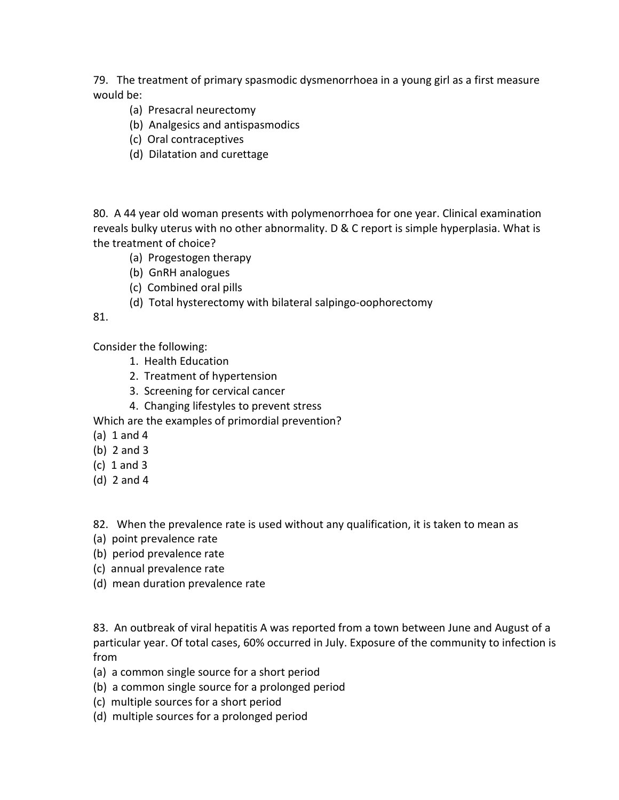79. The treatment of primary spasmodic dysmenorrhoea in a young girl as a first measure would be:

- (a) Presacral neurectomy
- (b) Analgesics and antispasmodics
- (c) Oral contraceptives
- (d) Dilatation and curettage

80. A 44 year old woman presents with polymenorrhoea for one year. Clinical examination reveals bulky uterus with no other abnormality. D & C report is simple hyperplasia. What is the treatment of choice?

- (a) Progestogen therapy
- (b) GnRH analogues
- (c) Combined oral pills
- (d) Total hysterectomy with bilateral salpingo-oophorectomy

# 81.

Consider the following:

- 1. Health Education
- 2. Treatment of hypertension
- 3. Screening for cervical cancer
- 4. Changing lifestyles to prevent stress

Which are the examples of primordial prevention?

- (a) 1 and 4
- (b) 2 and 3
- (c) 1 and 3
- (d) 2 and 4

82. When the prevalence rate is used without any qualification, it is taken to mean as

- (a) point prevalence rate
- (b) period prevalence rate
- (c) annual prevalence rate
- (d) mean duration prevalence rate

83. An outbreak of viral hepatitis A was reported from a town between June and August of a particular year. Of total cases, 60% occurred in July. Exposure of the community to infection is from

- (a) a common single source for a short period
- (b) a common single source for a prolonged period
- (c) multiple sources for a short period
- (d) multiple sources for a prolonged period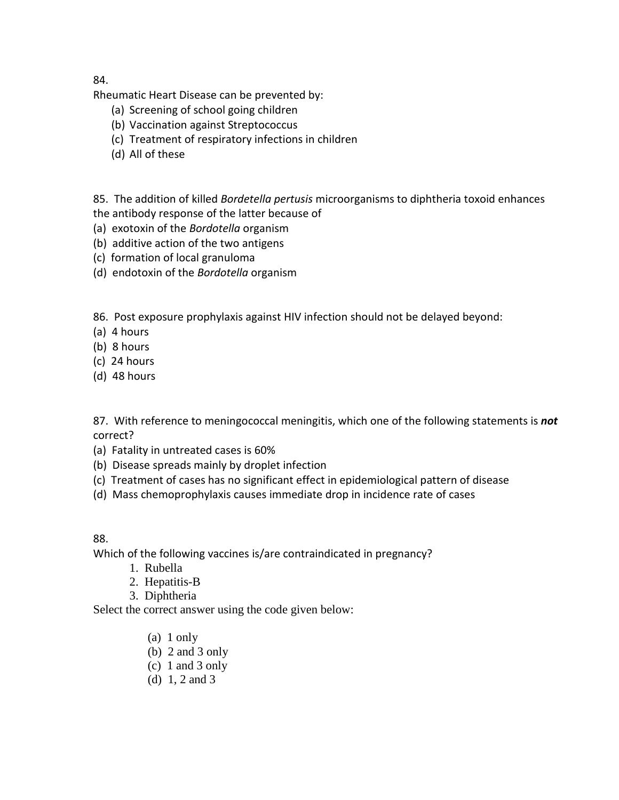84.

Rheumatic Heart Disease can be prevented by:

- (a) Screening of school going children
- (b) Vaccination against Streptococcus
- (c) Treatment of respiratory infections in children
- (d) All of these

85. The addition of killed *Bordetella pertusis* microorganisms to diphtheria toxoid enhances

- the antibody response of the latter because of
- (a) exotoxin of the *Bordotella* organism
- (b) additive action of the two antigens
- (c) formation of local granuloma
- (d) endotoxin of the *Bordotella* organism

86. Post exposure prophylaxis against HIV infection should not be delayed beyond:

- (a) 4 hours
- (b) 8 hours
- (c) 24 hours
- (d) 48 hours

87. With reference to meningococcal meningitis, which one of the following statements is *not* correct?

- (a) Fatality in untreated cases is 60%
- (b) Disease spreads mainly by droplet infection
- (c) Treatment of cases has no significant effect in epidemiological pattern of disease
- (d) Mass chemoprophylaxis causes immediate drop in incidence rate of cases

# 88.

Which of the following vaccines is/are contraindicated in pregnancy?

- 1. Rubella
- 2. Hepatitis-B
- 3. Diphtheria

Select the correct answer using the code given below:

- (a) 1 only
- (b) 2 and 3 only
- (c) 1 and 3 only
- (d) 1, 2 and 3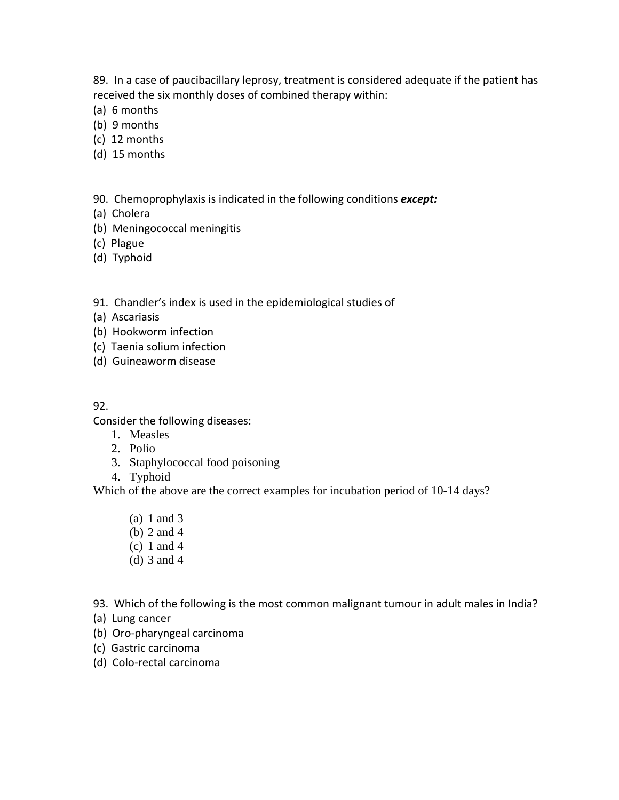89. In a case of paucibacillary leprosy, treatment is considered adequate if the patient has received the six monthly doses of combined therapy within:

- (a) 6 months
- (b) 9 months
- (c) 12 months
- (d) 15 months

90. Chemoprophylaxis is indicated in the following conditions *except:*

- (a) Cholera
- (b) Meningococcal meningitis
- (c) Plague
- (d) Typhoid

91. Chandler's index is used in the epidemiological studies of

- (a) Ascariasis
- (b) Hookworm infection
- (c) Taenia solium infection
- (d) Guineaworm disease
- 92.

Consider the following diseases:

- 1. Measles
- 2. Polio
- 3. Staphylococcal food poisoning
- 4. Typhoid

Which of the above are the correct examples for incubation period of 10-14 days?

- (a) 1 and 3
- (b) 2 and 4
- (c) 1 and 4
- (d) 3 and 4
- 93. Which of the following is the most common malignant tumour in adult males in India?
- (a) Lung cancer
- (b) Oro-pharyngeal carcinoma
- (c) Gastric carcinoma
- (d) Colo-rectal carcinoma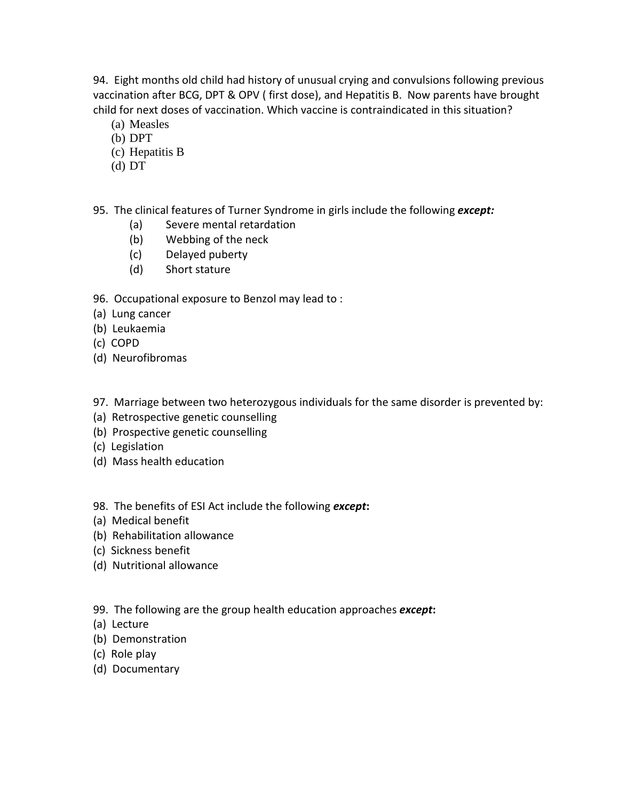94. Eight months old child had history of unusual crying and convulsions following previous vaccination after BCG, DPT & OPV ( first dose), and Hepatitis B. Now parents have brought child for next doses of vaccination. Which vaccine is contraindicated in this situation?

- (a) Measles
- (b) DPT
- (c) Hepatitis B
- (d) DT

95. The clinical features of Turner Syndrome in girls include the following *except:*

- (a) Severe mental retardation
- (b) Webbing of the neck
- (c) Delayed puberty
- (d) Short stature

96. Occupational exposure to Benzol may lead to :

- (a) Lung cancer
- (b) Leukaemia
- (c) COPD
- (d) Neurofibromas

97. Marriage between two heterozygous individuals for the same disorder is prevented by:

- (a) Retrospective genetic counselling
- (b) Prospective genetic counselling
- (c) Legislation
- (d) Mass health education

98. The benefits of ESI Act include the following *except***:**

- (a) Medical benefit
- (b) Rehabilitation allowance
- (c) Sickness benefit
- (d) Nutritional allowance
- 99. The following are the group health education approaches *except***:**
- (a) Lecture
- (b) Demonstration
- (c) Role play
- (d) Documentary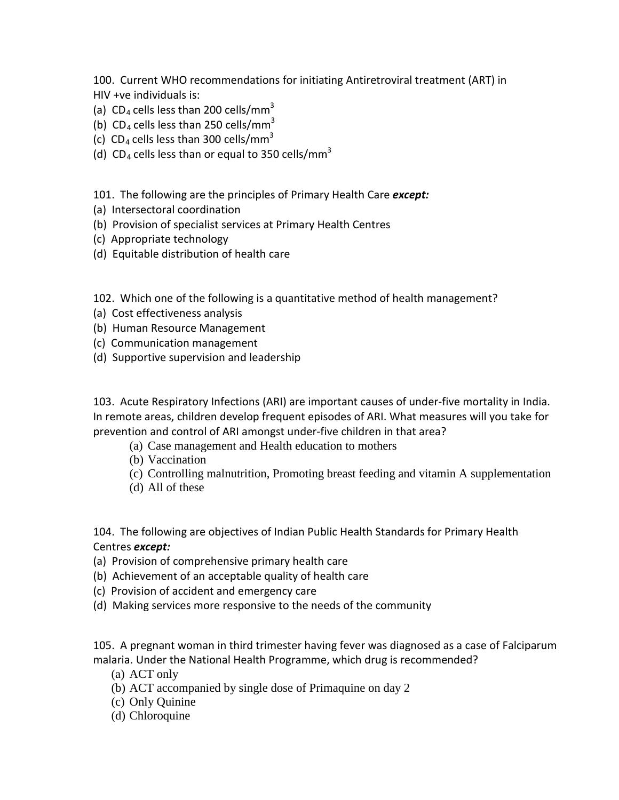100. Current WHO recommendations for initiating Antiretroviral treatment (ART) in HIV +ve individuals is:

- (a)  $CD_4$  cells less than 200 cells/mm<sup>3</sup>
- (b)  $CD_4$  cells less than 250 cells/mm<sup>3</sup>
- (c)  $CD_4$  cells less than 300 cells/mm<sup>3</sup>
- (d) CD<sub>4</sub> cells less than or equal to 350 cells/mm<sup>3</sup>

101. The following are the principles of Primary Health Care *except:*

- (a) Intersectoral coordination
- (b) Provision of specialist services at Primary Health Centres
- (c) Appropriate technology
- (d) Equitable distribution of health care

102. Which one of the following is a quantitative method of health management?

- (a) Cost effectiveness analysis
- (b) Human Resource Management
- (c) Communication management
- (d) Supportive supervision and leadership

103. Acute Respiratory Infections (ARI) are important causes of under-five mortality in India. In remote areas, children develop frequent episodes of ARI. What measures will you take for prevention and control of ARI amongst under-five children in that area?

- (a) Case management and Health education to mothers
- (b) Vaccination
- (c) Controlling malnutrition, Promoting breast feeding and vitamin A supplementation
- (d) All of these

104. The following are objectives of Indian Public Health Standards for Primary Health Centres *except:*

- (a) Provision of comprehensive primary health care
- (b) Achievement of an acceptable quality of health care
- (c) Provision of accident and emergency care
- (d) Making services more responsive to the needs of the community

105. A pregnant woman in third trimester having fever was diagnosed as a case of Falciparum malaria. Under the National Health Programme, which drug is recommended?

- (a) ACT only
- (b) ACT accompanied by single dose of Primaquine on day 2
- (c) Only Quinine
- (d) Chloroquine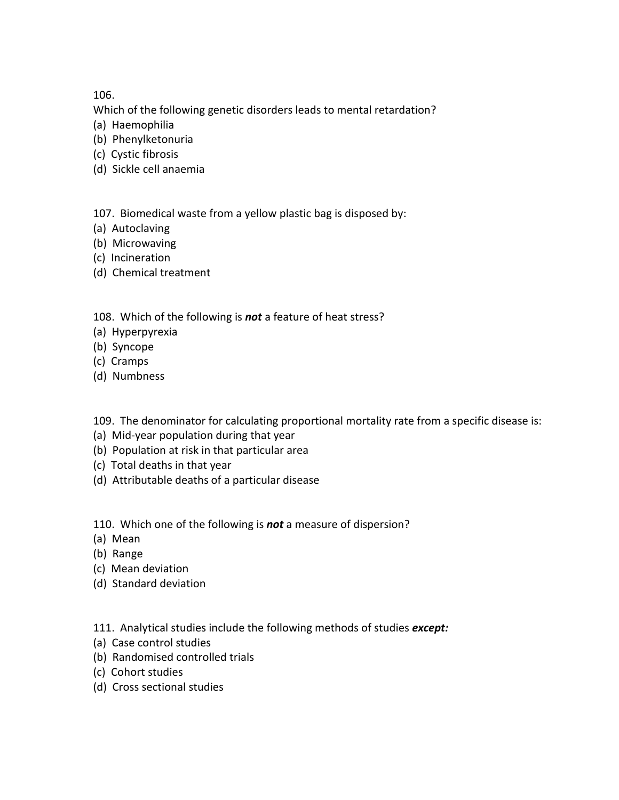106.

Which of the following genetic disorders leads to mental retardation?

- (a) Haemophilia
- (b) Phenylketonuria
- (c) Cystic fibrosis
- (d) Sickle cell anaemia

107. Biomedical waste from a yellow plastic bag is disposed by:

- (a) Autoclaving
- (b) Microwaving
- (c) Incineration
- (d) Chemical treatment

108. Which of the following is *not* a feature of heat stress?

- (a) Hyperpyrexia
- (b) Syncope
- (c) Cramps
- (d) Numbness

109. The denominator for calculating proportional mortality rate from a specific disease is:

- (a) Mid-year population during that year
- (b) Population at risk in that particular area
- (c) Total deaths in that year
- (d) Attributable deaths of a particular disease

110. Which one of the following is *not* a measure of dispersion?

- (a) Mean
- (b) Range
- (c) Mean deviation
- (d) Standard deviation
- 111. Analytical studies include the following methods of studies *except:*
- (a) Case control studies
- (b) Randomised controlled trials
- (c) Cohort studies
- (d) Cross sectional studies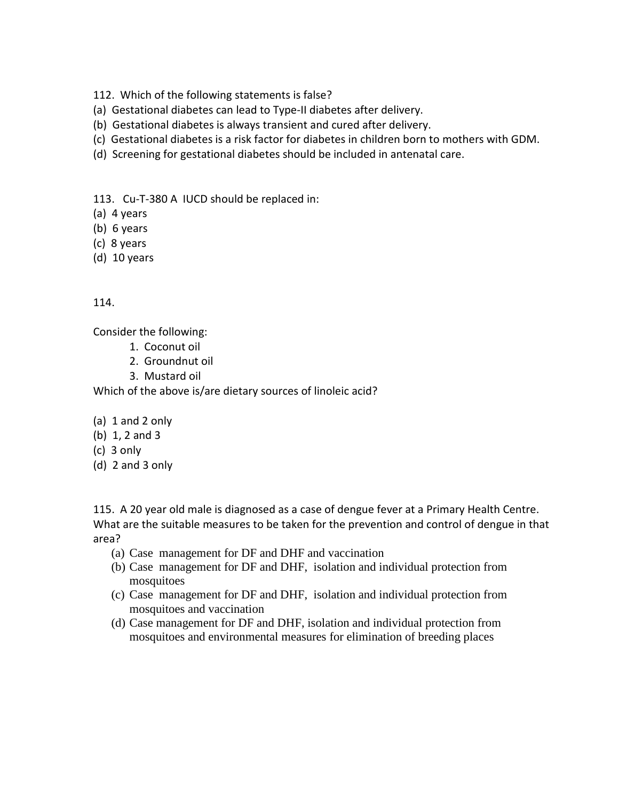- 112. Which of the following statements is false?
- (a) Gestational diabetes can lead to Type-II diabetes after delivery.
- (b) Gestational diabetes is always transient and cured after delivery.
- (c) Gestational diabetes is a risk factor for diabetes in children born to mothers with GDM.
- (d) Screening for gestational diabetes should be included in antenatal care.

113. Cu-T-380 A IUCD should be replaced in:

- (a) 4 years
- (b) 6 years
- (c) 8 years
- (d) 10 years

# 114.

Consider the following:

- 1. Coconut oil
- 2. Groundnut oil
- 3. Mustard oil

Which of the above is/are dietary sources of linoleic acid?

# (a) 1 and 2 only

- (b) 1, 2 and 3
- (c) 3 only
- (d) 2 and 3 only

115. A 20 year old male is diagnosed as a case of dengue fever at a Primary Health Centre. What are the suitable measures to be taken for the prevention and control of dengue in that area?

- (a) Case management for DF and DHF and vaccination
- (b) Case management for DF and DHF, isolation and individual protection from mosquitoes
- (c) Case management for DF and DHF, isolation and individual protection from mosquitoes and vaccination
- (d) Case management for DF and DHF, isolation and individual protection from mosquitoes and environmental measures for elimination of breeding places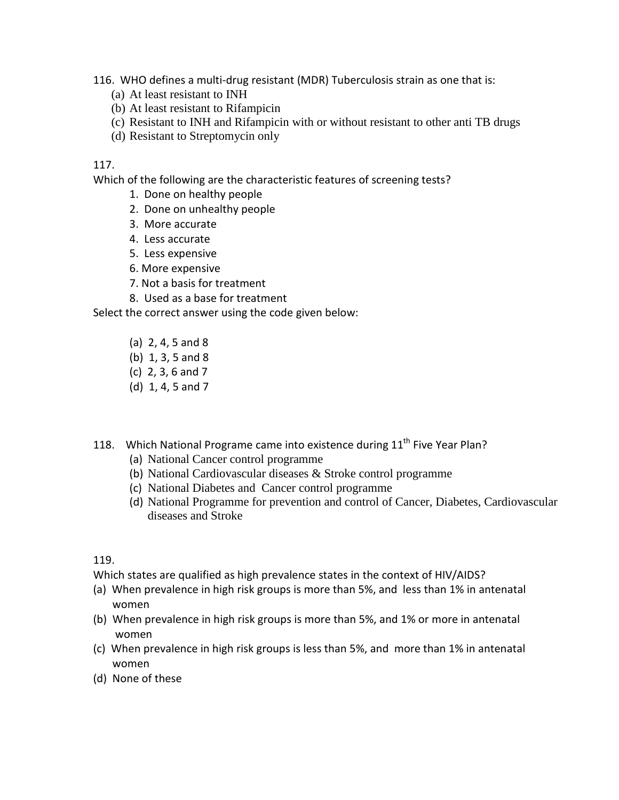116. WHO defines a multi-drug resistant (MDR) Tuberculosis strain as one that is:

- (a) At least resistant to INH
- (b) At least resistant to Rifampicin
- (c) Resistant to INH and Rifampicin with or without resistant to other anti TB drugs
- (d) Resistant to Streptomycin only

### 117.

Which of the following are the characteristic features of screening tests?

- 1. Done on healthy people
- 2. Done on unhealthy people
- 3. More accurate
- 4. Less accurate
- 5. Less expensive
- 6. More expensive
- 7. Not a basis for treatment
- 8. Used as a base for treatment

Select the correct answer using the code given below:

- (a) 2, 4, 5 and 8
- (b) 1, 3, 5 and 8
- (c) 2, 3, 6 and 7
- (d) 1, 4, 5 and 7
- 118. Which National Programe came into existence during 11<sup>th</sup> Five Year Plan?
	- (a) National Cancer control programme
	- (b) National Cardiovascular diseases & Stroke control programme
	- (c) National Diabetes and Cancer control programme
	- (d) National Programme for prevention and control of Cancer, Diabetes, Cardiovascular diseases and Stroke

### 119.

Which states are qualified as high prevalence states in the context of HIV/AIDS?

- (a) When prevalence in high risk groups is more than 5%, and less than 1% in antenatal women
- (b) When prevalence in high risk groups is more than 5%, and 1% or more in antenatal women
- (c) When prevalence in high risk groups is less than 5%, and more than 1% in antenatal women
- (d) None of these